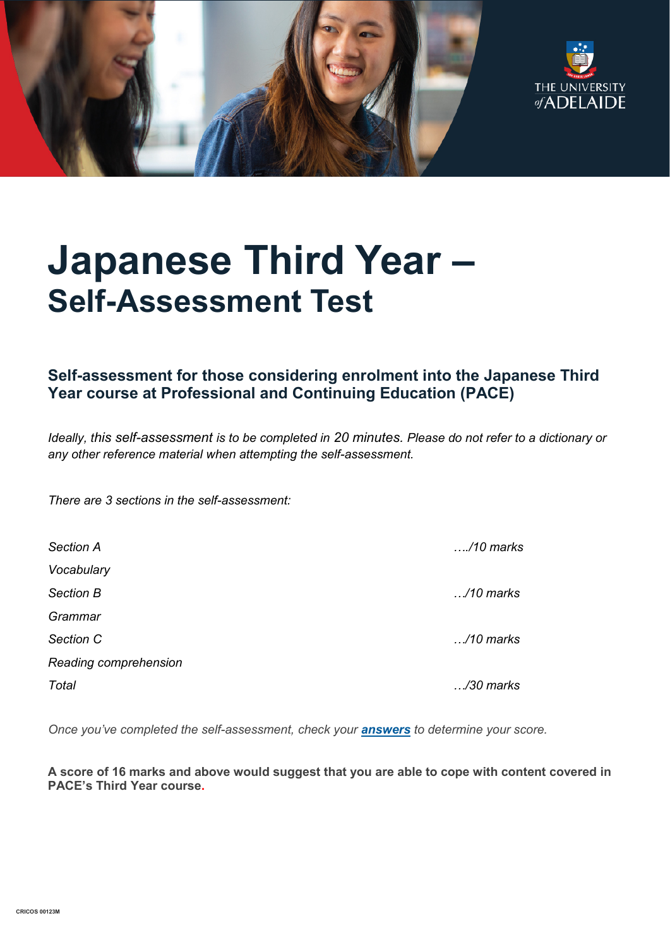



# **Japanese Third Year – Self-Assessment Test**

### **Self-assessment for those considering enrolment into the Japanese Third Year course at Professional and Continuing Education (PACE)**

*Ideally, this self-assessment is to be completed in 20 minutes. Please do not refer to a dictionary or any other reference material when attempting the self-assessment.*

*There are 3 sections in the self-assessment:*

| Section A             | /10 marks          |
|-----------------------|--------------------|
| Vocabulary            |                    |
| Section B             | $\ldots$ /10 marks |
| Grammar               |                    |
| Section C             | $\ldots$ /10 marks |
| Reading comprehension |                    |
| Total                 | /30 marks          |

*Once you've completed the self-assessment, check your [answers](https://www.adelaide.edu.au/pace/system/files/media/documents/2021-11/placement_test-japanese_year_3_answers.pdf) to determine your score.* 

**A score of 16 marks and above would suggest that you are able to cope with content covered in PACE's Third Year course.**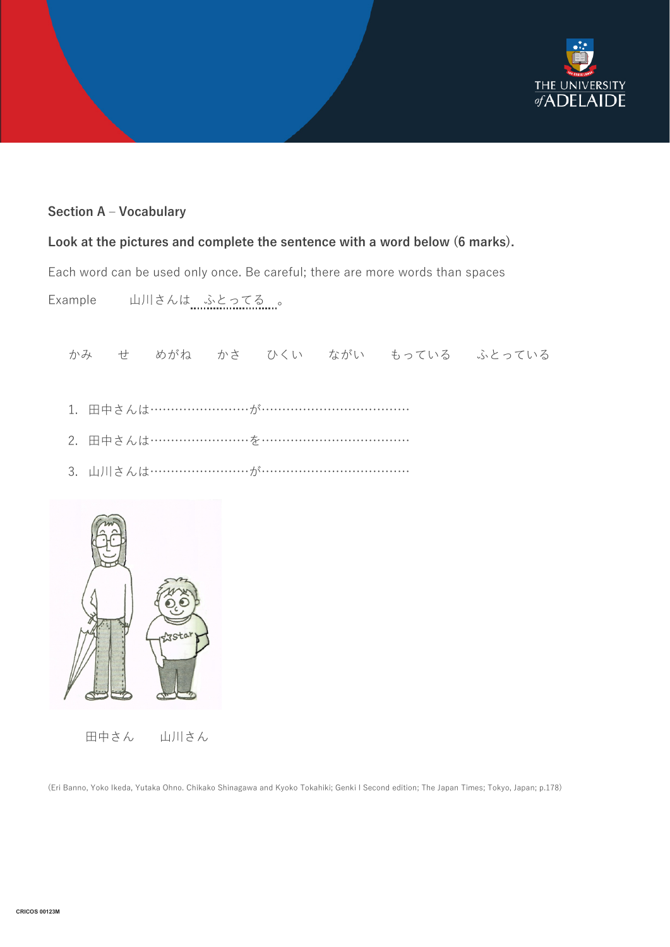

### **Section A – Vocabulary**

### **Look at the pictures and complete the sentence with a word below (6 marks).**

Each word can be used only once. Be careful; there are more words than spaces

Example 山川さんは ふとってる 。

かみ せ めがね かさ ひくい ながい もっている ふとっている

- 1. 田中さんは………………………が…………………………………………
- 2. 田中さんは……………………を………………………………
- 3. 山川さんは……………………が………………………………



田中さん 山川さん

(Eri Banno, Yoko Ikeda, Yutaka Ohno. Chikako Shinagawa and Kyoko Tokahiki; Genki I Second edition; The Japan Times; Tokyo, Japan; p.178)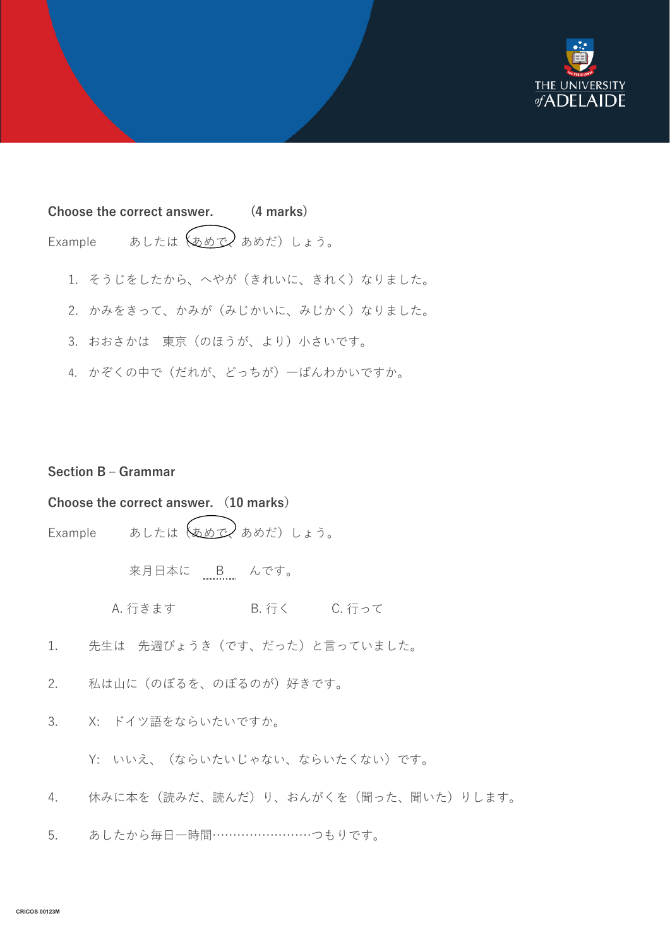

## **Choose the correct answer. (4 marks)** Example あしたは $(\phi \otimes \phi)$  あめだ)しょう。

- 1. そうじをしたから、へやが(きれいに、きれく)なりました。
- 2. かみをきって、かみが(みじかいに、みじかく)なりました。
- 3. おおさかは 東京(のほうが、より)小さいです。
- 4. かぞくの中で(だれが、どっちが)一ばんわかいですか。

### **Section B – Grammar**

### **Choose the correct answer. (10 marks)**

Example あしたは $(x)$ あめだ)しょう。

来月日本に B んです。

- A. 行きます B. 行く C. 行って
- 1. 先生は 先週びょうき(です、だった)と言っていました。
- 2. 私は山に(のぼるを、のぼるのが)好きです。
- 3. X: ドイツ語をならいたいですか。
	- Y: いいえ、(ならいたいじゃない、ならいたくない)です。
- 4. 休みに本を(読みだ、読んだ)り、おんがくを(聞った、聞いた)りします。
- 5. あしたから毎日一時間……………………つもりです。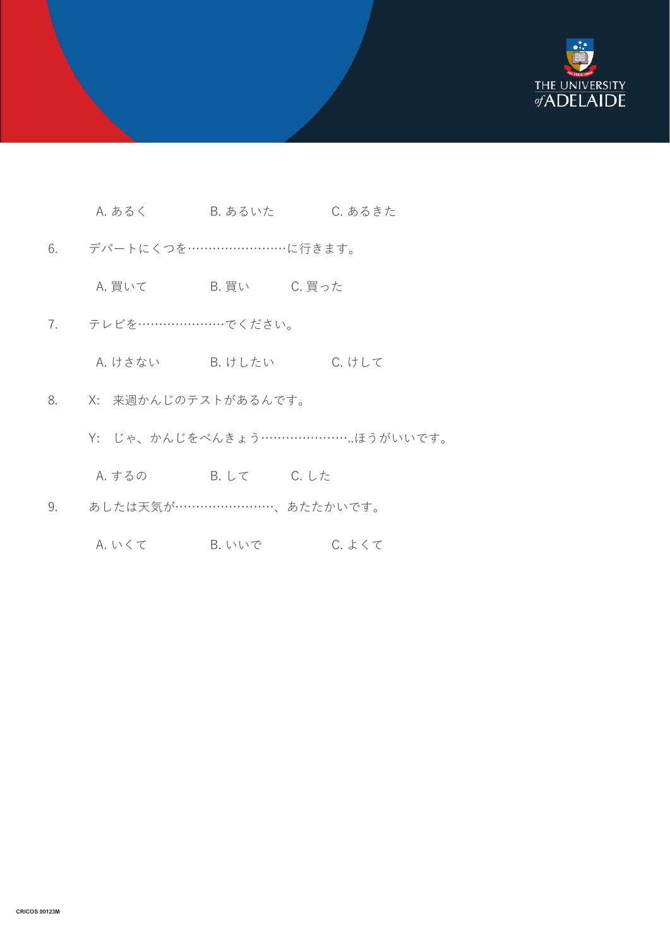

- A. あるく B. あるいた C. あるきた
- 6. デパートにくつを……………………に行きます。
	- A. 買いて B. 買い C. 買った
- 7. テレビを…………………でください。
	- A. けさない B. けしたい C. けして
- 8. X: 来週かんじのテストがあるんです。
	- Y: じゃ、かんじをべんきょう…………………..ほうがいいです。
	- A. するの B. して C. した
- 9. あしたは天気が……………………、あたたかいです。
	- A. いくて B. いいで C. よくて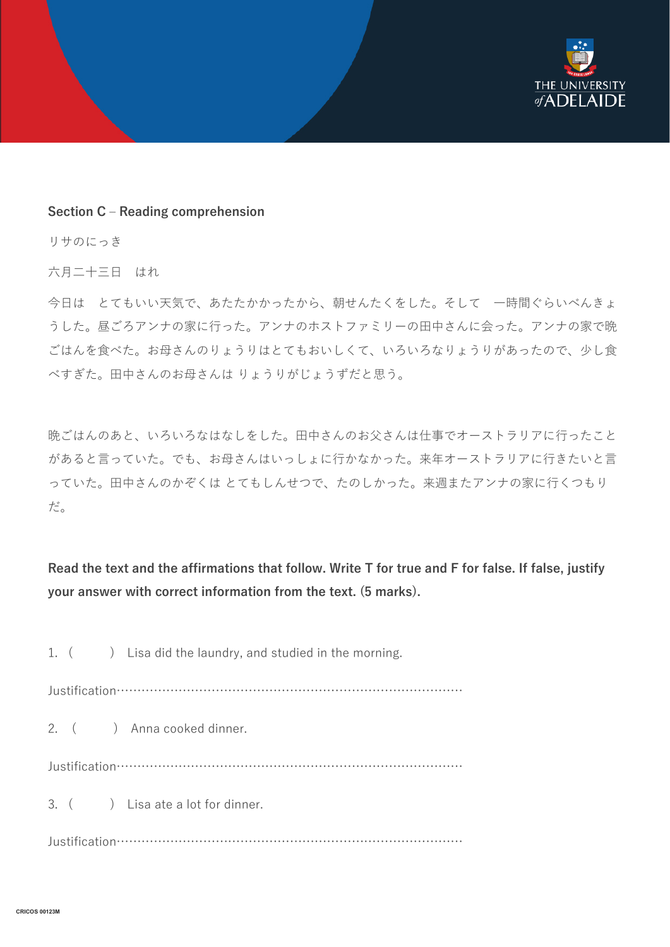

#### **Section C – Reading comprehension**

リサのにっき

六月二十三日 はれ

今日は とてもいい天気で、あたたかかったから、朝せんたくをした。そして 一時間ぐらいべんきょ うした。昼ごろアンナの家に行った。アンナのホストファミリーの田中さんに会った。アンナの家で晩 ごはんを食べた。お母さんのりょうりはとてもおいしくて、いろいろなりょうりがあったので、少し食 べすぎた。田中さんのお母さんは りょうりがじょうずだと思う。

晩ごはんのあと、いろいろなはなしをした。田中さんのお父さんは仕事でオーストラリアに行ったこと があると言っていた。でも、お母さんはいっしょに行かなかった。来年オーストラリアに行きたいと言 っていた。田中さんのかぞくは とてもしんせつで、たのしかった。来週またアンナの家に行くつもり だ。

**Read the text and the affirmations that follow. Write T for true and F for false. If false, justify your answer with correct information from the text. (5 marks).**

1. ( ) Lisa did the laundry, and studied in the morning. Justification………………………………………………………………………… 2. ( ) Anna cooked dinner. Justification………………………………………………………………………… 3. ( ) Lisa ate a lot for dinner. Justification…………………………………………………………………………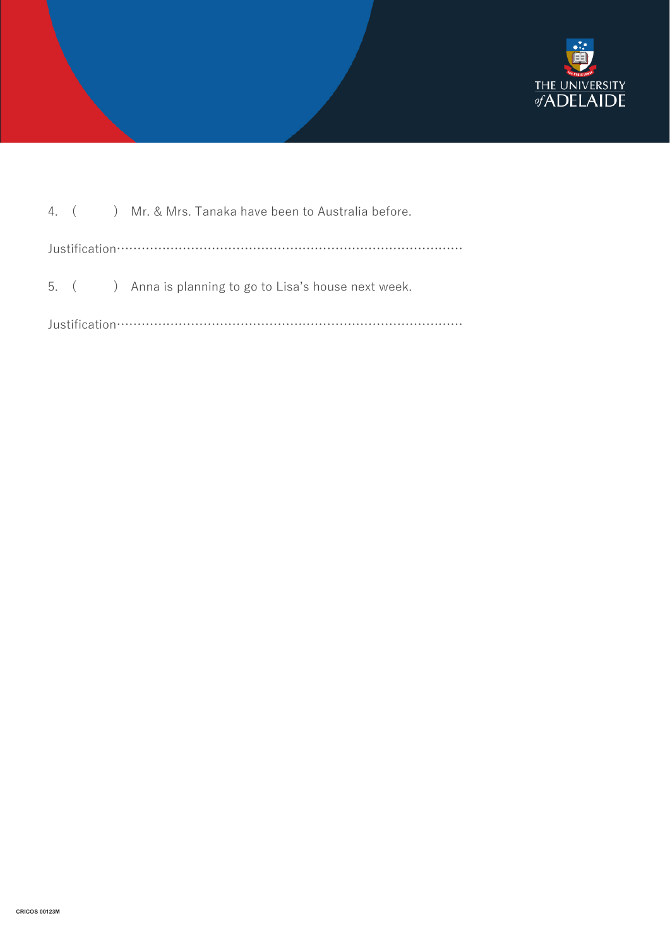

|  |  |  | 4. ( ) Mr. & Mrs. Tanaka have been to Australia before. |  |  |
|--|--|--|---------------------------------------------------------|--|--|
|  |  |  |                                                         |  |  |
|  |  |  | 5. () Anna is planning to go to Lisa's house next week. |  |  |
|  |  |  |                                                         |  |  |